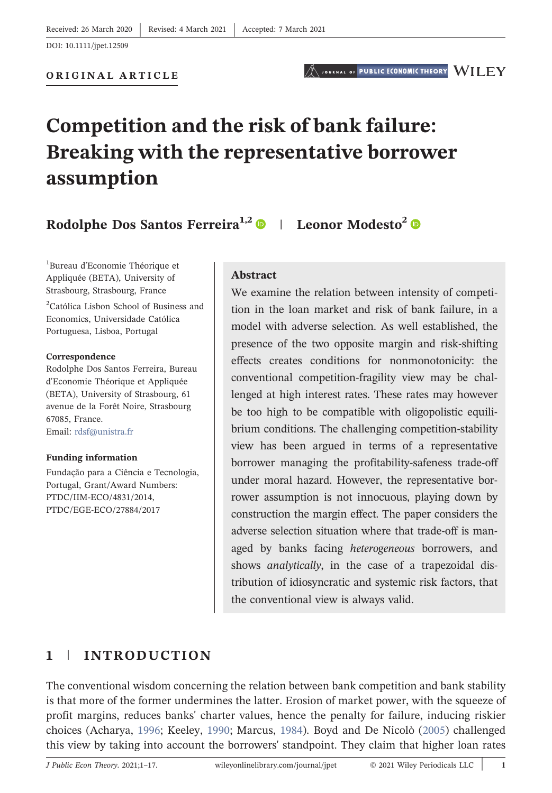ORIGINAL ARTICLE

# Competition and the risk of bank failure: Breaking with the representative borrower assumption

Rodolphe Dos Santos Ferreira<sup>1,2</sup> | Leonor Modesto<sup>2</sup> | **D** 

1 Bureau d'Economie Théorique et Appliquée (BETA), University of Strasbourg, Strasbourg, France

2 Católica Lisbon School of Business and Economics, Universidade Católica Portuguesa, Lisboa, Portugal

#### Correspondence

Rodolphe Dos Santos Ferreira, Bureau d'Economie Théorique et Appliquée (BETA), University of Strasbourg, 61 avenue de la Forêt Noire, Strasbourg 67085, France. Email: [rdsf@unistra.fr](mailto:rdsf@unistra.fr)

#### Funding information

Fundação para a Ciência e Tecnologia, Portugal, Grant/Award Numbers: PTDC/IIM‐ECO/4831/2014, PTDC/EGE‐ECO/27884/2017

#### Abstract

We examine the relation between intensity of competition in the loan market and risk of bank failure, in a model with adverse selection. As well established, the presence of the two opposite margin and risk‐shifting effects creates conditions for nonmonotonicity: the conventional competition‐fragility view may be challenged at high interest rates. These rates may however be too high to be compatible with oligopolistic equilibrium conditions. The challenging competition‐stability view has been argued in terms of a representative borrower managing the profitability-safeness trade-off under moral hazard. However, the representative borrower assumption is not innocuous, playing down by construction the margin effect. The paper considers the adverse selection situation where that trade‐off is managed by banks facing heterogeneous borrowers, and shows analytically, in the case of a trapezoidal distribution of idiosyncratic and systemic risk factors, that the conventional view is always valid.

# <span id="page-0-0"></span>1 | INTRODUCTION

The conventional wisdom concerning the relation between bank competition and bank stability is that more of the former undermines the latter. Erosion of market power, with the squeeze of profit margins, reduces banks' charter values, hence the penalty for failure, inducing riskier choices (Acharya, [1996;](#page-13-0) Keeley, [1990;](#page-13-1) Marcus, [1984\)](#page-13-2). Boyd and De Nicolò [\(2005](#page-13-3)) challenged this view by taking into account the borrowers' standpoint. They claim that higher loan rates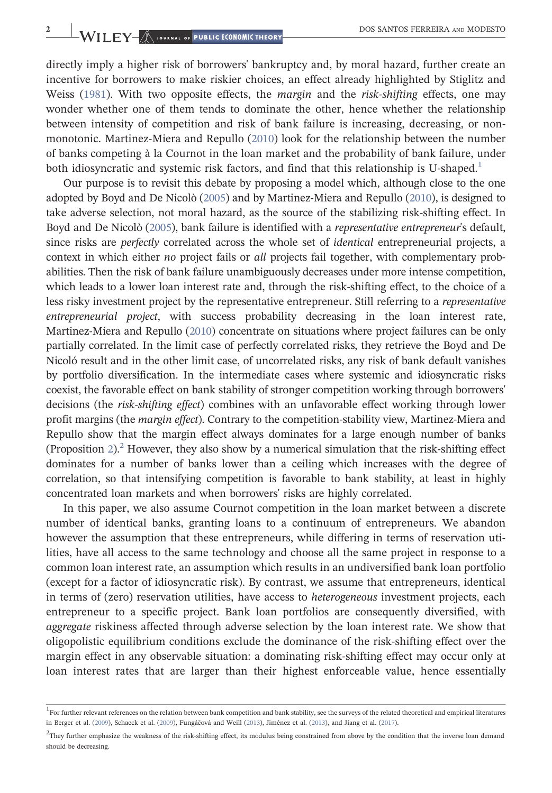directly imply a higher risk of borrowers' bankruptcy and, by moral hazard, further create an incentive for borrowers to make riskier choices, an effect already highlighted by Stiglitz and Weiss ([1981](#page-14-0)). With two opposite effects, the *margin* and the *risk-shifting* effects, one may wonder whether one of them tends to dominate the other, hence whether the relationship between intensity of competition and risk of bank failure is increasing, decreasing, or non-monotonic. Martinez-Miera and Repullo ([2010\)](#page-13-4) look for the relationship between the number of banks competing à la Cournot in the loan market and the probability of bank failure, under both idiosyncratic and systemic risk factors, and find that this relationship is U-shaped.<sup>[1](#page-1-0)</sup>

Our purpose is to revisit this debate by proposing a model which, although close to the one adopted by Boyd and De Nicolò ([2005](#page-13-3)) and by Martinez‐Miera and Repullo ([2010\)](#page-13-4), is designed to take adverse selection, not moral hazard, as the source of the stabilizing risk‐shifting effect. In Boyd and De Nicolò [\(2005\)](#page-13-3), bank failure is identified with a representative entrepreneur's default, since risks are perfectly correlated across the whole set of identical entrepreneurial projects, a context in which either no project fails or all projects fail together, with complementary probabilities. Then the risk of bank failure unambiguously decreases under more intense competition, which leads to a lower loan interest rate and, through the risk-shifting effect, to the choice of a less risky investment project by the representative entrepreneur. Still referring to a representative entrepreneurial project, with success probability decreasing in the loan interest rate, Martinez-Miera and Repullo [\(2010\)](#page-13-4) concentrate on situations where project failures can be only partially correlated. In the limit case of perfectly correlated risks, they retrieve the Boyd and De Nicoló result and in the other limit case, of uncorrelated risks, any risk of bank default vanishes by portfolio diversification. In the intermediate cases where systemic and idiosyncratic risks coexist, the favorable effect on bank stability of stronger competition working through borrowers' decisions (the risk-shifting effect) combines with an unfavorable effect working through lower profit margins (the *margin effect*). Contrary to the competition-stability view, Martinez-Miera and Repullo show that the margin effect always dominates for a large enough number of banks (Proposition [2](#page-11-0)).<sup>2</sup> However, they also show by a numerical simulation that the risk-shifting effect dominates for a number of banks lower than a ceiling which increases with the degree of correlation, so that intensifying competition is favorable to bank stability, at least in highly concentrated loan markets and when borrowers' risks are highly correlated.

In this paper, we also assume Cournot competition in the loan market between a discrete number of identical banks, granting loans to a continuum of entrepreneurs. We abandon however the assumption that these entrepreneurs, while differing in terms of reservation utilities, have all access to the same technology and choose all the same project in response to a common loan interest rate, an assumption which results in an undiversified bank loan portfolio (except for a factor of idiosyncratic risk). By contrast, we assume that entrepreneurs, identical in terms of (zero) reservation utilities, have access to heterogeneous investment projects, each entrepreneur to a specific project. Bank loan portfolios are consequently diversified, with aggregate riskiness affected through adverse selection by the loan interest rate. We show that oligopolistic equilibrium conditions exclude the dominance of the risk‐shifting effect over the margin effect in any observable situation: a dominating risk‐shifting effect may occur only at loan interest rates that are larger than their highest enforceable value, hence essentially

<span id="page-1-0"></span><sup>&</sup>lt;sup>1</sup>For further relevant references on the relation between bank competition and bank stability, see the surveys of the related theoretical and empirical literatures in Berger et al. [\(2009](#page-13-5)), Schaeck et al. [\(2009](#page-14-1)), Fungáčová and Weill ([2013](#page-13-6)), Jiménez et al. ([2013\)](#page-13-7), and Jiang et al. ([2017\)](#page-13-8).

<span id="page-1-1"></span><sup>2</sup>They further emphasize the weakness of the risk‐shifting effect, its modulus being constrained from above by the condition that the inverse loan demand should be decreasing.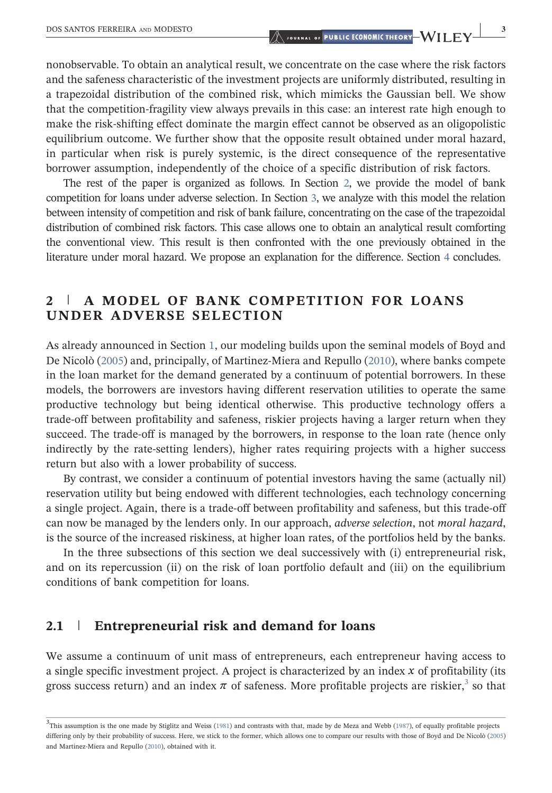nonobservable. To obtain an analytical result, we concentrate on the case where the risk factors and the safeness characteristic of the investment projects are uniformly distributed, resulting in a trapezoidal distribution of the combined risk, which mimicks the Gaussian bell. We show that the competition‐fragility view always prevails in this case: an interest rate high enough to make the risk‐shifting effect dominate the margin effect cannot be observed as an oligopolistic equilibrium outcome. We further show that the opposite result obtained under moral hazard, in particular when risk is purely systemic, is the direct consequence of the representative borrower assumption, independently of the choice of a specific distribution of risk factors.

The rest of the paper is organized as follows. In Section [2,](#page-2-0) we provide the model of bank competition for loans under adverse selection. In Section [3,](#page-6-0) we analyze with this model the relation between intensity of competition and risk of bank failure, concentrating on the case of the trapezoidal distribution of combined risk factors. This case allows one to obtain an analytical result comforting the conventional view. This result is then confronted with the one previously obtained in the literature under moral hazard. We propose an explanation for the difference. Section [4](#page-12-0) concludes.

# <span id="page-2-0"></span>2 | A MODEL OF BANK COMPETITION FOR LOANS UNDER ADVERSE SELECTION

As already announced in Section [1,](#page-0-0) our modeling builds upon the seminal models of Boyd and De Nicolò ([2005\)](#page-13-3) and, principally, of Martinez-Miera and Repullo ([2010](#page-13-4)), where banks compete in the loan market for the demand generated by a continuum of potential borrowers. In these models, the borrowers are investors having different reservation utilities to operate the same productive technology but being identical otherwise. This productive technology offers a trade‐off between profitability and safeness, riskier projects having a larger return when they succeed. The trade-off is managed by the borrowers, in response to the loan rate (hence only indirectly by the rate-setting lenders), higher rates requiring projects with a higher success return but also with a lower probability of success.

By contrast, we consider a continuum of potential investors having the same (actually nil) reservation utility but being endowed with different technologies, each technology concerning a single project. Again, there is a trade‐off between profitability and safeness, but this trade‐off can now be managed by the lenders only. In our approach, adverse selection, not moral hazard, is the source of the increased riskiness, at higher loan rates, of the portfolios held by the banks.

In the three subsections of this section we deal successively with (i) entrepreneurial risk, and on its repercussion (ii) on the risk of loan portfolio default and (iii) on the equilibrium conditions of bank competition for loans.

# 2.1 | Entrepreneurial risk and demand for loans

We assume a continuum of unit mass of entrepreneurs, each entrepreneur having access to a single specific investment project. A project is characterized by an index *x* of profitability (its gross success return) and an index  $\pi$  of safeness. More profitable projects are riskier,<sup>[3](#page-2-1)</sup> so that

<span id="page-2-1"></span> $3$ This assumption is the one made by Stiglitz and Weiss ([1981\)](#page-14-0) and contrasts with that, made by de Meza and Webb ([1987](#page-13-9)), of equally profitable projects differing only by their probability of success. Here, we stick to the former, which allows one to compare our results with those of Boyd and De Nicolò [\(2005](#page-13-3)) and Martinez‐Miera and Repullo ([2010\)](#page-13-4), obtained with it.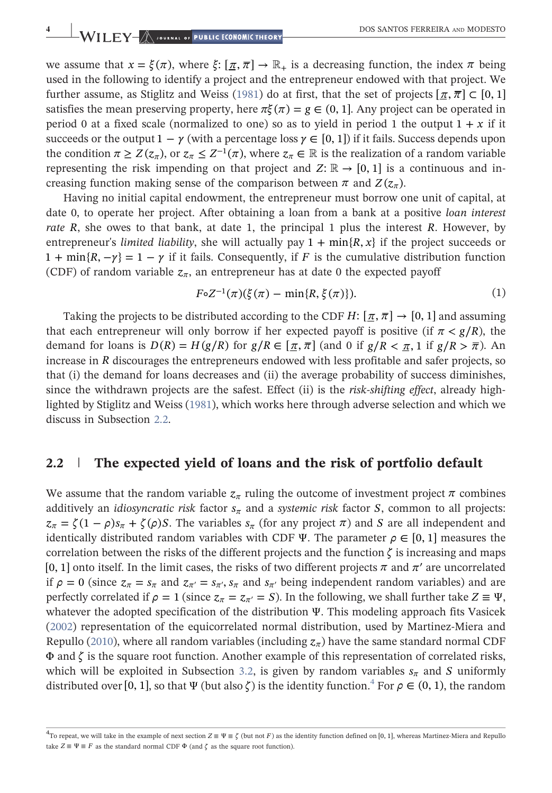we assume that  $x = \xi(\pi)$ , where  $\xi: [\pi, \pi] \to \mathbb{R}_+$  is a decreasing function, the index  $\pi$  being used in the following to identify a project and the entrepreneur endowed with that project. We further assume, as Stiglitz and Weiss ([1981\)](#page-14-0) do at first, that the set of projects  $[\pi, \pi] \subset [0, 1]$ satisfies the mean preserving property, here  $\pi \xi(\pi) = g \in (0, 1]$ . Any project can be operated in period 0 at a fixed scale (normalized to one) so as to yield in period 1 the output  $1 + x$  if it succeeds or the output  $1 - \gamma$  (with a percentage loss  $\gamma \in [0, 1]$ ) if it fails. Success depends upon the condition  $\pi \geq Z(z_{\pi})$ , or  $z_{\pi} \leq Z^{-1}(\pi)$ , where  $z_{\pi} \in \mathbb{R}$  is the realization of a random variable representing the risk impending on that project and  $Z: \mathbb{R} \to [0, 1]$  is a continuous and increasing function making sense of the comparison between  $\pi$  and  $Z(z_\pi)$ .

Having no initial capital endowment, the entrepreneur must borrow one unit of capital, at date 0, to operate her project. After obtaining a loan from a bank at a positive loan interest rate *R*, she owes to that bank, at date 1, the principal 1 plus the interest *R*. However, by entrepreneur's *limited liability*, she will actually pay  $1 + \min\{R, x\}$  if the project succeeds or  $1 + \min\{R, -\gamma\} = 1 - \gamma$  if it fails. Consequently, if *F* is the cumulative distribution function (CDF) of random variable  $z_{\pi}$ , an entrepreneur has at date 0 the expected payoff

$$
F \circ Z^{-1}(\pi)(\xi(\pi) - \min\{R, \xi(\pi)\}).
$$
 (1)

<span id="page-3-2"></span>Taking the projects to be distributed according to the CDF *H*:  $[\pi, \pi] \rightarrow [0, 1]$  and assuming that each entrepreneur will only borrow if her expected payoff is positive (if  $\pi < g/R$ ), the demand for loans is  $D(R) = H(g/R)$  for  $g/R \in [\pi, \pi]$  (and 0 if  $g/R < \pi$ , 1 if  $g/R > \pi$ ). An increase in *R* discourages the entrepreneurs endowed with less profitable and safer projects, so that (i) the demand for loans decreases and (ii) the average probability of success diminishes, since the withdrawn projects are the safest. Effect (ii) is the risk-shifting effect, already highlighted by Stiglitz and Weiss [\(1981](#page-14-0)), which works here through adverse selection and which we discuss in Subsection [2.2.](#page-3-0)

### <span id="page-3-0"></span>2.2 The expected yield of loans and the risk of portfolio default

We assume that the random variable  $z_\pi$  ruling the outcome of investment project  $\pi$  combines additively an *idiosyncratic risk* factor  $s_\pi$  and a *systemic risk* factor *S*, common to all projects:  $z_{\pi} = \zeta(1-\rho)s_{\pi} + \zeta(\rho)S$ . The variables  $s_{\pi}$  (for any project  $\pi$ ) and *S* are all independent and identically distributed random variables with CDF Ψ. The parameter  $\rho \in [0, 1]$  measures the correlation between the risks of the different projects and the function  $\zeta$  is increasing and maps [0, 1] onto itself. In the limit cases, the risks of two different projects  $\pi$  and  $\pi'$  are uncorrelated if  $\rho = 0$  (since  $z_{\pi} = s_{\pi}$  and  $z_{\pi'} = s_{\pi'}$ ,  $s_{\pi}$  and  $s_{\pi'}$  being independent random variables) and are perfectly correlated if  $\rho = 1$  (since  $z_{\pi} = z_{\pi'} = S$ ). In the following, we shall further take  $Z \equiv \Psi$ , whatever the adopted specification of the distribution Ψ. This modeling approach fits Vasicek ([2002\)](#page-14-2) representation of the equicorrelated normal distribution, used by Martinez‐Miera and Repullo ([2010](#page-13-4)), where all random variables (including  $z_\pi$ ) have the same standard normal CDF Φ and *ζ* is the square root function. Another example of this representation of correlated risks, which will be exploited in Subsection [3.2](#page-5-0), is given by random variables  $s_\pi$  and *S* uniformly distributed over [0, 1], so that  $\Psi$  (but also  $\zeta$ ) is the identity function.<sup>[4](#page-3-1)</sup> For  $\rho \in (0, 1)$ , the random

<span id="page-3-1"></span> $^4$ To repeat, we will take in the example of next section *Z* ≡ Ψ ≡ ζ (but not *F*) as the identity function defined on [0, 1], whereas Martinez‐Miera and Repullo take  $Z \equiv \Psi \equiv F$  as the standard normal CDF  $\Phi$  (and  $\zeta$  as the square root function).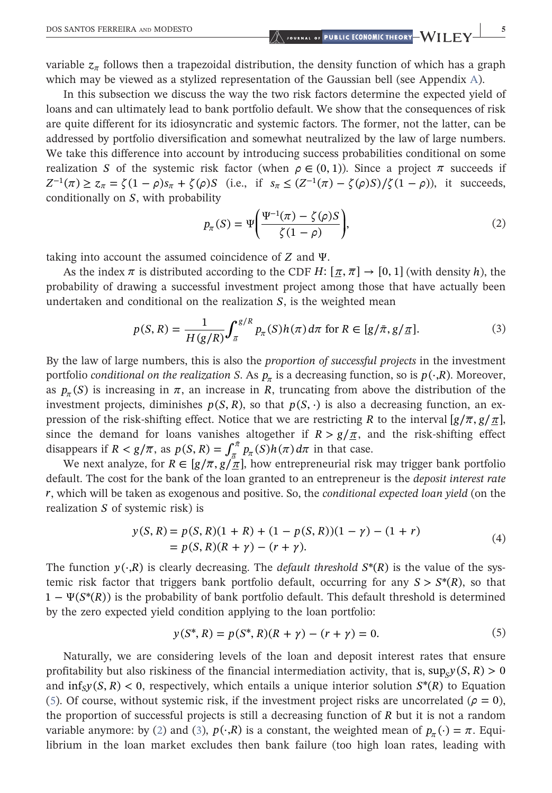variable  $z_{\pi}$  follows then a trapezoidal distribution, the density function of which has a graph which may be viewed as a stylized representation of the Gaussian bell (see [A](#page-14-3)ppendix A).

In this subsection we discuss the way the two risk factors determine the expected yield of loans and can ultimately lead to bank portfolio default. We show that the consequences of risk are quite different for its idiosyncratic and systemic factors. The former, not the latter, can be addressed by portfolio diversification and somewhat neutralized by the law of large numbers. We take this difference into account by introducing success probabilities conditional on some realization *S* of the systemic risk factor (when  $ρ ∈ (0, 1)$ ). Since a project *π* succeeds if  $Z^{-1}(\pi) \geq z_{\pi} = \zeta (1 - \rho)s_{\pi} + \zeta(\rho)S$  (i.e., if  $s_{\pi} \leq (Z^{-1}(\pi) - \zeta(\rho)S)/\zeta(1 - \rho)$ ), it succeeds, conditionally on *S*, with probability

$$
p_{\pi}(S) = \Psi\left(\frac{\Psi^{-1}(\pi) - \zeta(\rho)S}{\zeta(1-\rho)}\right),\tag{2}
$$

<span id="page-4-1"></span>taking into account the assumed coincidence of *Z* and Ψ.

<span id="page-4-2"></span>As the index  $\pi$  is distributed according to the CDF *H*:  $[\pi, \pi] \rightarrow [0, 1]$  *(with density h), the* probability of drawing a successful investment project among those that have actually been undertaken and conditional on the realization *S*, is the weighted mean

$$
p(S, R) = \frac{1}{H(g/R)} \int_{\pi}^{g/R} p_{\pi}(S) h(\pi) d\pi \text{ for } R \in [g/\bar{\pi}, g/\bar{\pi}].
$$
 (3)

By the law of large numbers, this is also the proportion of successful projects in the investment portfolio *conditional on the realization* S. As  $p_{\pi}$  is a decreasing function, so is  $p(\cdot, R)$ . Moreover, as  $p_{\pi}(S)$  is increasing in  $\pi$ , an increase in *R*, truncating from above the distribution of the investment projects, diminishes  $p(S, R)$ , so that  $p(S, \cdot)$  is also a decreasing function, an expression of the risk-shifting effect. Notice that we are restricting *R* to the interval  $[g/\overline{\pi}, g/\underline{\pi}]$ , since the demand for loans vanishes altogether if  $R > g/\pi$ , and the risk-shifting effect disappears if  $R < g/\overline{\pi}$ , as  $p(S, R) = \int_{\pi}^{\pi} p_{\pi}(S)h(\pi) d\pi$  $\int_{\frac{\pi}{2}}^{\frac{\pi}{2}} p_{\pi}(S) h(\pi) d\pi$  in that case.

<span id="page-4-3"></span>We next analyze, for  $R \in [g/\overline{\pi}, g/\overline{\pi}]$ , how entrepreneurial risk may trigger bank portfolio default. The cost for the bank of the loan granted to an entrepreneur is the deposit interest rate *r*, which will be taken as exogenous and positive. So, the conditional expected loan yield (on the realization *S* of systemic risk) is

$$
y(S, R) = p(S, R)(1 + R) + (1 - p(S, R))(1 - \gamma) - (1 + r)
$$
  
= p(S, R)(R + \gamma) - (r + \gamma). (4)

<span id="page-4-0"></span>The function  $y(\cdot, R)$  is clearly decreasing. The *default threshold*  $S^*(R)$  is the value of the systemic risk factor that triggers bank portfolio default, occurring for any  $S > S<sup>*</sup>(R)$ , so that  $1 - \Psi(S^*(R))$  is the probability of bank portfolio default. This default threshold is determined by the zero expected yield condition applying to the loan portfolio:

$$
y(S^*, R) = p(S^*, R)(R + \gamma) - (r + \gamma) = 0.
$$
\n(5)

Naturally, we are considering levels of the loan and deposit interest rates that ensure profitability but also riskiness of the financial intermediation activity, that is,  $\sup_{y} y(S, R) > 0$ and  $\inf_{S} y(S, R) < 0$ , respectively, which entails a unique interior solution  $S^*(R)$  to Equation ([5\)](#page-4-0). Of course, without systemic risk, if the investment project risks are uncorrelated ( $\rho = 0$ ), the proportion of successful projects is still a decreasing function of *R* but it is not a random variable anymore: by ([2\)](#page-4-1) and [\(3](#page-4-2)),  $p(\cdot,R)$  is a constant, the weighted mean of  $p_\pi(\cdot) = \pi$ . Equilibrium in the loan market excludes then bank failure (too high loan rates, leading with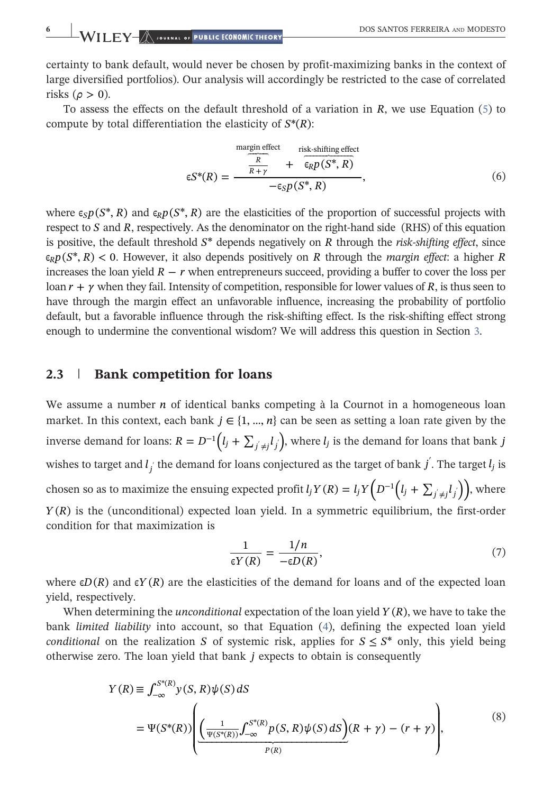certainty to bank default, would never be chosen by profit‐maximizing banks in the context of large diversified portfolios). Our analysis will accordingly be restricted to the case of correlated risks ( $\rho > 0$ ).

<span id="page-5-2"></span>To assess the effects on the default threshold of a variation in *R*, we use Equation ([5\)](#page-4-0) to compute by total differentiation the elasticity of *S*\*(*R*):

$$
\epsilon S^*(R) = \frac{\frac{\text{margin effect}}{R}}{\frac{R}{R+\gamma}} + \frac{\text{risk-shifting effect}}{\epsilon_R p(S^*, R)},
$$
\n
$$
\epsilon S^*(R) = \frac{\epsilon_S p(S^*, R)}{-\epsilon_S p(S^*, R)},
$$
\n
$$
(6)
$$

where  $\epsilon_{\varsigma}p(S^*,R)$  and  $\epsilon_{\varsigma}p(S^*,R)$  are the elasticities of the proportion of successful projects with respect to  $S$  and  $R$ , respectively. As the denominator on the right-hand side (RHS) of this equation is positive, the default threshold  $S^*$  depends negatively on  $R$  through the *risk-shifting effect*, since  $\epsilon_R p(S^*, R)$  < 0. However, it also depends positively on *R* through the *margin effect*: a higher *R* increases the loan yield  $R - r$  when entrepreneurs succeed, providing a buffer to cover the loss per loan *r* + *γ* when they fail. Intensity of competition, responsible for lower values of *R*, is thus seen to have through the margin effect an unfavorable influence, increasing the probability of portfolio default, but a favorable influence through the risk‐shifting effect. Is the risk‐shifting effect strong enough to undermine the conventional wisdom? We will address this question in Section [3](#page-6-0).

#### <span id="page-5-0"></span>2.3 | Bank competition for loans

We assume a number *n* of identical banks competing à la Cournot in a homogeneous loan market. In this context, each bank  $j \in \{1, ..., n\}$  can be seen as setting a loan rate given by the inverse demand for loans:  $R = D^{-1} (l_j + \sum_{j' \neq j} l_j)$ , where  $l_j$  is the demand for loans that bank *j* wishes to target and  $l_j$  the demand for loans conjectured as the target of bank  $j^{'}$ . The target  $l_j$  is chosen so as to maximize the ensuing expected profit  $l_j Y(R) = l_j Y\left(D^{-1}\left(l_j + \sum_{i \neq j} l_i\right)\right)$ , where *Y*(*R*) is the (unconditional) expected loan yield. In a symmetric equilibrium, the first-order condition for that maximization is

$$
\frac{1}{\epsilon Y(R)} = \frac{1/n}{-\epsilon D(R)},\tag{7}
$$

<span id="page-5-1"></span>where  $\epsilon D(R)$  and  $\epsilon Y(R)$  are the elasticities of the demand for loans and of the expected loan yield, respectively.

<span id="page-5-3"></span>When determining the *unconditional* expectation of the loan yield  $Y(R)$ , we have to take the bank limited liability into account, so that Equation [\(4](#page-4-3)), defining the expected loan yield conditional on the realization *S* of systemic risk, applies for  $S \leq S^*$  only, this yield being otherwise zero. The loan yield that bank *j* expects to obtain is consequently

$$
Y(R) \equiv \int_{-\infty}^{S^*(R)} y(S, R) \psi(S) dS
$$
  
= 
$$
\Psi(S^*(R)) \left( \underbrace{\left( \frac{1}{\Psi(S^*(R))} \int_{-\infty}^{S^*(R)} p(S, R) \psi(S) dS \right)}_{P(R)} (R + \gamma) - (r + \gamma) \right),
$$
 (8)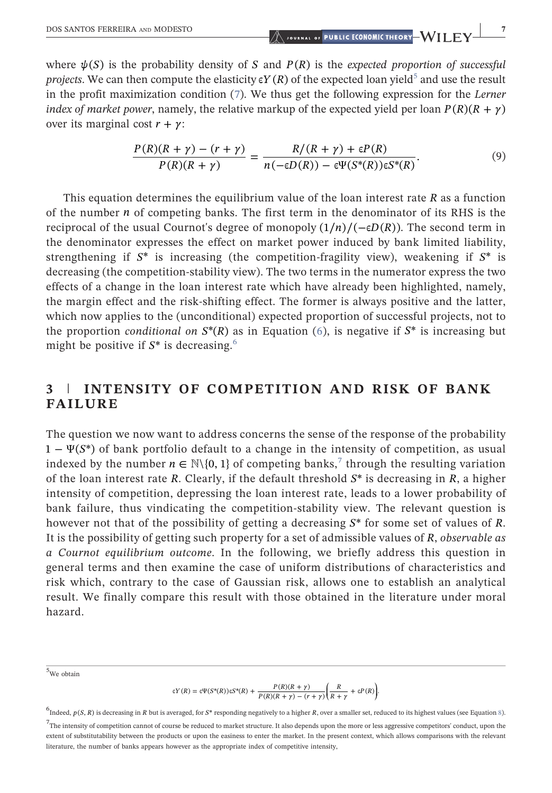<span id="page-6-4"></span>where  $\psi(S)$  is the probability density of *S* and  $P(R)$  is the expected proportion of successful projects. We can then compute the elasticity  $\epsilon Y(R)$  of the expected loan yield<sup>5</sup> and use the result in the profit maximization condition ([7\)](#page-5-1). We thus get the following expression for the Lerner *index of market power*, namely, the relative markup of the expected yield per loan  $P(R)(R + \gamma)$ over its marginal cost *r* + *γ*:

$$
\frac{P(R)(R+\gamma) - (r+\gamma)}{P(R)(R+\gamma)} = \frac{R/(R+\gamma) + \varepsilon P(R)}{n(-\varepsilon D(R)) - \varepsilon \Psi(S^*(R))\varepsilon S^*(R)}.
$$
\n(9)

This equation determines the equilibrium value of the loan interest rate *R* as a function of the number *n* of competing banks. The first term in the denominator of its RHS is the reciprocal of the usual Cournot's degree of monopoly  $(1/n)/(-\epsilon D(R))$ . The second term in the denominator expresses the effect on market power induced by bank limited liability, strengthening if  $S^*$  is increasing (the competition-fragility view), weakening if  $S^*$  is decreasing (the competition‐stability view). The two terms in the numerator express the two effects of a change in the loan interest rate which have already been highlighted, namely, the margin effect and the risk‐shifting effect. The former is always positive and the latter, which now applies to the (unconditional) expected proportion of successful projects, not to the proportion *conditional on*  $S^*(R)$  as in Equation [\(6](#page-5-2)), is negative if  $S^*$  is increasing but might be positive if  $S^*$  is decreasing.<sup>[6](#page-6-2)</sup>

## <span id="page-6-0"></span>3 | INTENSITY OF COMPETITION AND RISK OF BANK FAILURE

The question we now want to address concerns the sense of the response of the probability 1 − Ψ(*S*\*) of bank portfolio default to a change in the intensity of competition, as usual indexed by the number  $n \in \mathbb{N} \setminus \{0, 1\}$  of competing banks,<sup>[7](#page-6-3)</sup> through the resulting variation of the loan interest rate *R*. Clearly, if the default threshold *S*\* is decreasing in *R*, a higher intensity of competition, depressing the loan interest rate, leads to a lower probability of bank failure, thus vindicating the competition‐stability view. The relevant question is however not that of the possibility of getting a decreasing *S*\* for some set of values of *R*. It is the possibility of getting such property for a set of admissible values of *R*, observable as a Cournot equilibrium outcome. In the following, we briefly address this question in general terms and then examine the case of uniform distributions of characteristics and risk which, contrary to the case of Gaussian risk, allows one to establish an analytical result. We finally compare this result with those obtained in the literature under moral hazard.

<span id="page-6-1"></span>5 We obtain

$$
\epsilon Y(R) = \epsilon \Psi(S^*(R)) \epsilon S^*(R) + \frac{P(R)(R+\gamma)}{P(R)(R+\gamma) - (r+\gamma)} \left(\frac{R}{R+\gamma} + \epsilon P(R)\right).
$$

<span id="page-6-3"></span><span id="page-6-2"></span><sup>&</sup>lt;sup>6</sup>Indeed, *p*(*S*, *R*) is decreasing in *R* but is averaged, for *S*\* responding negatively to a higher *R*, over a smaller set, reduced to its highest values (see Equation [8\)](#page-5-3).  $^{7}$ The intensity of competition cannot of course be reduced to market structure. It also depends upon the more or less aggressive competitors' conduct, upon the extent of substitutability between the products or upon the easiness to enter the market. In the present context, which allows comparisons with the relevant literature, the number of banks appears however as the appropriate index of competitive intensity,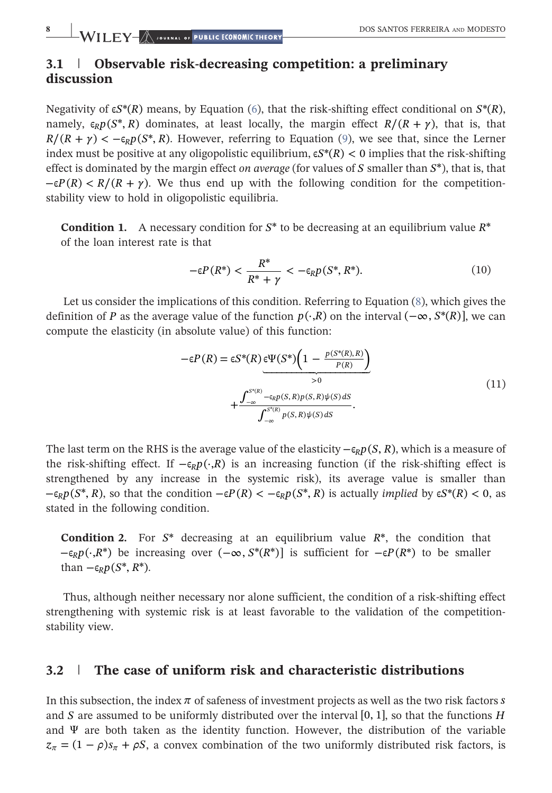# 3.1 | Observable risk-decreasing competition: a preliminary discussion

Negativity of  $\epsilon S^*(R)$  means, by Equation [\(6\)](#page-5-2), that the risk-shifting effect conditional on  $S^*(R)$ , namely,  $\epsilon_R p(S^*, R)$  dominates, at least locally, the margin effect  $R/(R+\gamma)$ , that is, that  $R/(R + \gamma) < -\epsilon_p p(S^*, R)$ . However, referring to Equation ([9\)](#page-6-4), we see that, since the Lerner index must be positive at any oligopolistic equilibrium,  $\varepsilon S^*(R) < 0$  implies that the risk-shifting effect is dominated by the margin effect on average (for values of *S* smaller than *S*\*), that is, that  $-\epsilon P(R) < R/(R + \gamma)$ . We thus end up with the following condition for the competitionstability view to hold in oligopolistic equilibria.

**Condition 1.** A necessary condition for  $S^*$  to be decreasing at an equilibrium value  $R^*$ of the loan interest rate is that

$$
-\varepsilon P(R^*) < \frac{R^*}{R^* + \gamma} < -\varepsilon_R p(S^*, R^*). \tag{10}
$$

Let us consider the implications of this condition. Referring to Equation [\(8\)](#page-5-3), which gives the definition of *P* as the average value of the function  $p(\cdot, R)$  on the interval  $(-\infty, S^*(R))$ , we can compute the elasticity (in absolute value) of this function:

$$
-\epsilon P(R) = \epsilon S^*(R) \underbrace{\epsilon \Psi(S^*) \left(1 - \frac{p(S^*(R), R)}{P(R)}\right)}_{>0}
$$
  
+ 
$$
\underbrace{\int_{-\infty}^{S^*(R)} -\epsilon_R p(S, R) p(S, R) \psi(S) dS}_{\int_{-\infty}^{S^*(R)} p(S, R) \psi(S) dS}.
$$
 (11)

The last term on the RHS is the average value of the elasticity  $-\epsilon_R p(S, R)$ , which is a measure of the risk–shifting effect. If  $-\epsilon_R p(\cdot, R)$  is an increasing function (if the risk–shifting effect is strengthened by any increase in the systemic risk), its average value is smaller than  $-\epsilon_R p(S^*, R)$ , so that the condition  $-\epsilon P(R) < -\epsilon_R p(S^*, R)$  is actually *implied* by  $\epsilon S^*(R) < 0$ , as stated in the following condition.

<span id="page-7-0"></span>Condition 2. For *S*\* decreasing at an equilibrium value *R*\*, the condition that  $-\epsilon_R p(\cdot, R^*)$  be increasing over  $(-\infty, S^*(R^*))$  is sufficient for  $-\epsilon P(R^*)$  to be smaller than  $-\epsilon_R p(S^*, R^*)$ .

Thus, although neither necessary nor alone sufficient, the condition of a risk‐shifting effect strengthening with systemic risk is at least favorable to the validation of the competition‐ stability view.

#### 3.2 | The case of uniform risk and characteristic distributions

In this subsection, the index *π* of safeness of investment projects as well as the two risk factors *s* and *S* are assumed to be uniformly distributed over the interval [0, 1], so that the functions *H* and  $\Psi$  are both taken as the identity function. However, the distribution of the variable  $z_{\pi} = (1 - \rho)s_{\pi} + \rho S$ , a convex combination of the two uniformly distributed risk factors, is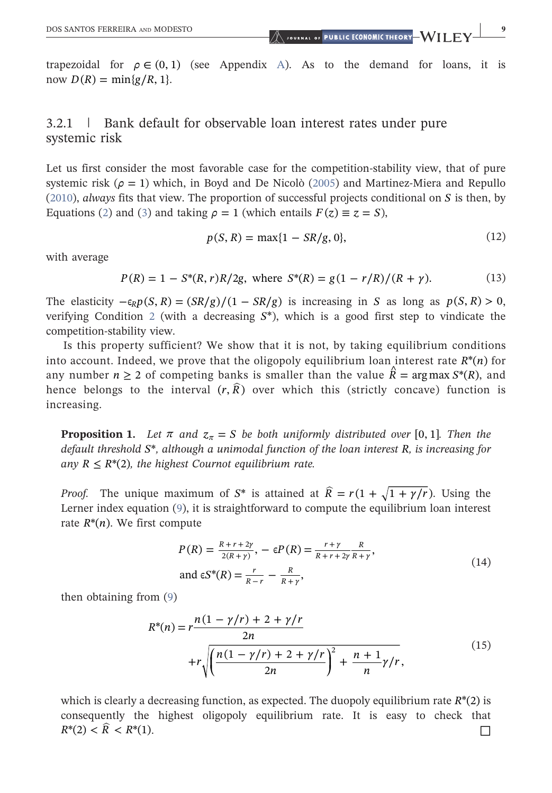DOS SANTOS FERREIRA AND MODESTO **And an**d the set of PUBLIC ECONOMIC THEORY WILEY <sup>9</sup>

trapezoidal for  $\rho \in (0, 1)$  (see [A](#page-14-3)ppendix A). As to the demand for loans, it is now  $D(R) = \min\{g/R, 1\}$ .

# 3.2.1 | Bank default for observable loan interest rates under pure systemic risk

Let us first consider the most favorable case for the competition-stability view, that of pure systemic risk ( $\rho = 1$ ) which, in Boyd and De Nicolò ([2005](#page-13-3)) and Martinez-Miera and Repullo ([2010\)](#page-13-4), always fits that view. The proportion of successful projects conditional on *S* is then, by Equations [\(2](#page-4-1)) and ([3](#page-4-2)) and taking  $\rho = 1$  (which entails  $F(z) \equiv z = S$ ),

$$
p(S, R) = \max\{1 - SR/g, 0\},\tag{12}
$$

with average

$$
P(R) = 1 - S^*(R, r)R/2g, \text{ where } S^*(R) = g(1 - r/R)/(R + \gamma). \tag{13}
$$

The elasticity  $-\epsilon_R p(S, R) = \frac{S R}{g} / (1 - S R/g)$  is increasing in *S* as long as  $p(S, R) > 0$ , verifying Condition [2](#page-7-0) (with a decreasing  $S^*$ ), which is a good first step to vindicate the competition‐stability view.

Is this property sufficient? We show that it is not, by taking equilibrium conditions into account. Indeed, we prove that the oligopoly equilibrium loan interest rate  $R^*(n)$  for any number  $n \geq 2$  of competing banks is smaller than the value  $\hat{R} = \arg \max S^*(R)$ , and hence belongs to the interval  $(r, \hat{R})$  over which this (strictly concave) function is increasing.

<span id="page-8-0"></span>**Proposition 1.** Let  $\pi$  and  $z_{\pi} = S$  be both uniformly distributed over [0, 1]. Then the default threshold *S*\*, although a unimodal function of the loan interest *R*, is increasing for any  $R \leq R^*(2)$ , the highest Cournot equilibrium rate.

*Proof.* The unique maximum of  $S^*$  is attained at  $\hat{R} = r(1 + \sqrt{1 + \gamma/r})$ . Using the Lerner index equation [\(9](#page-6-4)), it is straightforward to compute the equilibrium loan interest rate  $R^*(n)$ . We first compute

$$
P(R) = \frac{R + r + 2\gamma}{2(R + \gamma)}, -\epsilon P(R) = \frac{r + \gamma}{R + r + 2\gamma} \frac{R}{R + \gamma},
$$
  
and  $\epsilon S^*(R) = \frac{r}{R - r} - \frac{R}{R + \gamma},$  (14)

then obtaining from [\(9](#page-6-4))

$$
R^{*}(n) = r \frac{n(1 - \gamma/r) + 2 + \gamma/r}{2n}
$$
  
+ 
$$
r \sqrt{\left(\frac{n(1 - \gamma/r) + 2 + \gamma/r}{2n}\right)^{2} + \frac{n + 1}{n}\gamma/r},
$$
 (15)

which is clearly a decreasing function, as expected. The duopoly equilibrium rate  $R^*(2)$  is consequently the highest oligopoly equilibrium rate. It is easy to check that  $R^*(2) < \hat{R} < R^*(1).$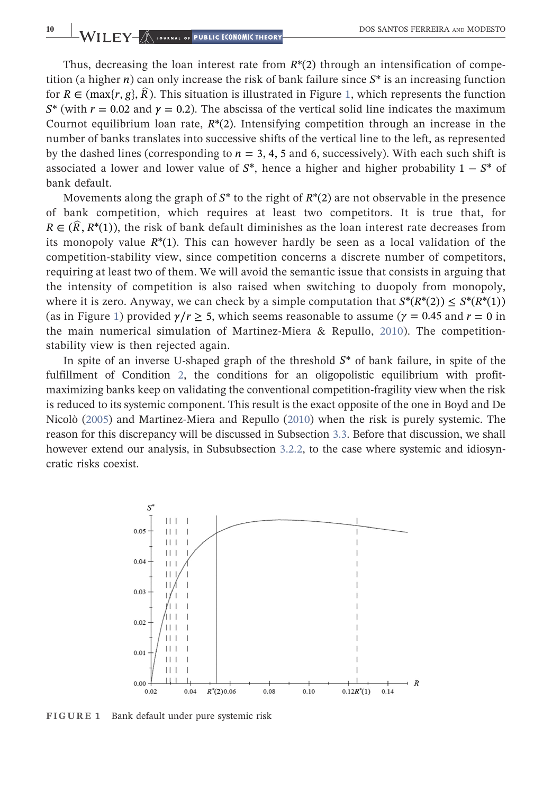Thus, decreasing the loan interest rate from  $R^*(2)$  through an intensification of competition (a higher *n*) can only increase the risk of bank failure since *S*\* is an increasing function for  $R \in \left(\max\{r, g\}, \widehat{R}\right)$ . This situation is illustrated in Figure [1](#page-9-0), which represents the function  $S^*$  (with  $r = 0.02$  and  $\gamma = 0.2$ ). The abscissa of the vertical solid line indicates the maximum Cournot equilibrium loan rate, *R*\*(2). Intensifying competition through an increase in the number of banks translates into successive shifts of the vertical line to the left, as represented by the dashed lines (corresponding to  $n = 3, 4, 5$  and 6, successively). With each such shift is associated a lower and lower value of *S*\*, hence a higher and higher probability 1 − *S*\* of bank default.

Movements along the graph of *S*\* to the right of *R*\*(2) are not observable in the presence of bank competition, which requires at least two competitors. It is true that, for  $R \in (\widehat{R}, R^*(1))$ , the risk of bank default diminishes as the loan interest rate decreases from its monopoly value  $R^*(1)$ . This can however hardly be seen as a local validation of the competition‐stability view, since competition concerns a discrete number of competitors, requiring at least two of them. We will avoid the semantic issue that consists in arguing that the intensity of competition is also raised when switching to duopoly from monopoly, where it is zero. Anyway, we can check by a simple computation that  $S^*(R^*(2)) \leq S^*(R^*(1))$ (as in Figure [1\)](#page-9-0) provided  $\gamma/r \geq 5$ , which seems reasonable to assume ( $\gamma = 0.45$  and  $r = 0$  in the main numerical simulation of Martinez-Miera & Repullo, [2010](#page-13-4)). The competitionstability view is then rejected again.

In spite of an inverse U‐shaped graph of the threshold *S*\* of bank failure, in spite of the fulfillment of Condition [2](#page-7-0), the conditions for an oligopolistic equilibrium with profitmaximizing banks keep on validating the conventional competition‐fragility view when the risk is reduced to its systemic component. This result is the exact opposite of the one in Boyd and De Nicolò ([2005](#page-13-3)) and Martinez‐Miera and Repullo ([2010](#page-13-4)) when the risk is purely systemic. The reason for this discrepancy will be discussed in Subsection [3.3.](#page-11-1) Before that discussion, we shall however extend our analysis, in Subsubsection [3.2.2,](#page-10-0) to the case where systemic and idiosyncratic risks coexist.

<span id="page-9-0"></span>

FIGURE 1 Bank default under pure systemic risk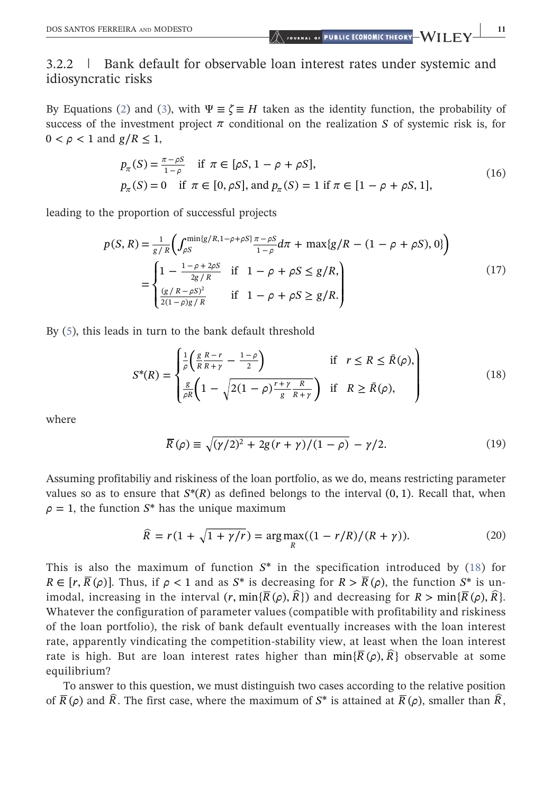# <span id="page-10-0"></span>3.2.2 | Bank default for observable loan interest rates under systemic and idiosyncratic risks

By Equations ([2\)](#page-4-1) and ([3\)](#page-4-2), with  $\Psi \equiv \zeta \equiv H$  taken as the identity function, the probability of success of the investment project  $\pi$  conditional on the realization *S* of systemic risk is, for  $0 < \rho < 1$  and  $g/R < 1$ ,

$$
p_{\pi}(S) = \frac{\pi - \rho S}{1 - \rho} \quad \text{if } \pi \in [\rho S, 1 - \rho + \rho S],
$$
  
\n
$$
p_{\pi}(S) = 0 \quad \text{if } \pi \in [0, \rho S], \text{ and } p_{\pi}(S) = 1 \text{ if } \pi \in [1 - \rho + \rho S, 1],
$$
\n(16)

<span id="page-10-4"></span>leading to the proportion of successful projects

$$
p(S, R) = \frac{1}{g/R} \left( \int_{\rho S}^{\min\{g/R, 1-\rho+\rho S\}} \frac{\pi - \rho S}{1 - \rho} d\pi + \max\{g/R - (1 - \rho + \rho S), 0\} \right)
$$
  
= 
$$
\begin{cases} 1 - \frac{1 - \rho + 2\rho S}{2g/R} & \text{if } 1 - \rho + \rho S \le g/R, \\ \frac{(g/R - \rho S)^2}{2(1 - \rho)g/R} & \text{if } 1 - \rho + \rho S \ge g/R. \end{cases}
$$
(17)

<span id="page-10-1"></span>By [\(5](#page-4-0)), this leads in turn to the bank default threshold

$$
S^*(R) = \begin{cases} \frac{1}{\rho} \left( \frac{g}{R} \frac{R-r}{R+\gamma} - \frac{1-\rho}{2} \right) & \text{if } r \le R \le \bar{R}(\rho), \\ \frac{g}{\rho R} \left( 1 - \sqrt{2(1-\rho) \frac{r+\gamma}{g} \frac{R}{R+\gamma}} \right) & \text{if } R \ge \bar{R}(\rho), \end{cases}
$$
(18)

<span id="page-10-2"></span>where

$$
\overline{R}(\rho) \equiv \sqrt{(\gamma/2)^2 + 2g(r+\gamma)/(1-\rho)} - \gamma/2.
$$
 (19)

<span id="page-10-3"></span>Assuming profitabiliy and riskiness of the loan portfolio, as we do, means restricting parameter values so as to ensure that  $S^*(R)$  as defined belongs to the interval  $(0, 1)$ . Recall that, when  $\rho = 1$ , the function  $S^*$  has the unique maximum

$$
\widehat{R} = r(1 + \sqrt{1 + \gamma/r}) = \arg \max_{R} ((1 - r/R)/(R + \gamma)).
$$
\n(20)

This is also the maximum of function *S*\* in the specification introduced by [\(18\)](#page-10-1) for  $R \in [r, \overline{R}(\rho)]$ . Thus, if  $\rho < 1$  and as  $S^*$  is decreasing for  $R > \overline{R}(\rho)$ , the function  $S^*$  is unimodal, increasing in the interval  $(r, \min\{\overline{R}(\rho), \widehat{R}\})$  and decreasing for  $R > \min\{\overline{R}(\rho), \widehat{R}\}.$ Whatever the configuration of parameter values (compatible with profitability and riskiness of the loan portfolio), the risk of bank default eventually increases with the loan interest rate, apparently vindicating the competition‐stability view, at least when the loan interest rate is high. But are loan interest rates higher than  $\min{\{\overline{R}(\rho),\overline{R}\}}$  observable at some equilibrium?

To answer to this question, we must distinguish two cases according to the relative position of  $\overline{R}(\rho)$  and  $\hat{R}$ . The first case, where the maximum of  $S^*$  is attained at  $\overline{R}(\rho)$ , smaller than  $\hat{R}$ ,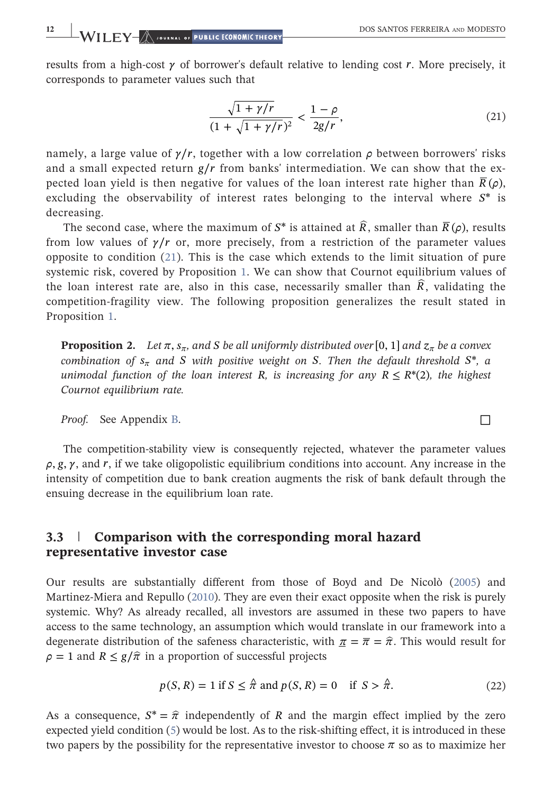<span id="page-11-2"></span>results from a high-cost  $\gamma$  of borrower's default relative to lending cost *r*. More precisely, it corresponds to parameter values such that

$$
\frac{\sqrt{1+\gamma/r}}{(1+\sqrt{1+\gamma/r})^2} < \frac{1-\rho}{2g/r},\tag{21}
$$

namely, a large value of  $\gamma/r$ , together with a low correlation  $\rho$  between borrowers' risks and a small expected return *g*∕*r* from banks' intermediation. We can show that the expected loan yield is then negative for values of the loan interest rate higher than  $\overline{R}(\rho)$ , excluding the observability of interest rates belonging to the interval where *S*\* is decreasing.

The second case, where the maximum of  $S^*$  is attained at  $\hat{R}$ , smaller than  $\overline{R}(\rho)$ , results from low values of  $\gamma/r$  or, more precisely, from a restriction of the parameter values opposite to condition ([21](#page-11-2)). This is the case which extends to the limit situation of pure systemic risk, covered by Proposition [1.](#page-8-0) We can show that Cournot equilibrium values of the loan interest rate are, also in this case, necessarily smaller than  $\hat{R}$ , validating the competition‐fragility view. The following proposition generalizes the result stated in Proposition [1](#page-8-0).

<span id="page-11-0"></span>**Proposition 2.** Let  $\pi$ ,  $s_{\pi}$ , and *S* be all uniformly distributed over [0, 1] and  $z_{\pi}$  be a convex combination of  $s_\pi$  and *S* with positive weight on *S*. Then the default threshold  $S^*$ , a unimodal function of the loan interest *R*, is increasing for any  $R \leq R^*(2)$ , the highest Cournot equilibrium rate.

*Proof.* See Appendix [B](#page-14-4).  $\Box$ 

The competition‐stability view is consequently rejected, whatever the parameter values  $\rho$ ,  $g$ ,  $\gamma$ , and  $r$ , if we take oligopolistic equilibrium conditions into account. Any increase in the intensity of competition due to bank creation augments the risk of bank default through the ensuing decrease in the equilibrium loan rate.

# <span id="page-11-1"></span>3.3 | Comparison with the corresponding moral hazard representative investor case

Our results are substantially different from those of Boyd and De Nicolò ([2005](#page-13-3)) and Martinez-Miera and Repullo [\(2010\)](#page-13-4). They are even their exact opposite when the risk is purely systemic. Why? As already recalled, all investors are assumed in these two papers to have access to the same technology, an assumption which would translate in our framework into a degenerate distribution of the safeness characteristic, with  $\pi = \pi = \hat{\pi}$ . This would result for  $\rho = 1$  and  $R \le g/\hat{\pi}$  in a proportion of successful projects

$$
p(S, R) = 1 \text{ if } S \le \hat{\pi} \text{ and } p(S, R) = 0 \quad \text{if } S > \hat{\pi}.
$$
 (22)

As a consequence,  $S^* = \hat{\pi}$  independently of *R* and the margin effect implied by the zero expected yield condition ([5\)](#page-4-0) would be lost. As to the risk-shifting effect, it is introduced in these two papers by the possibility for the representative investor to choose  $\pi$  so as to maximize her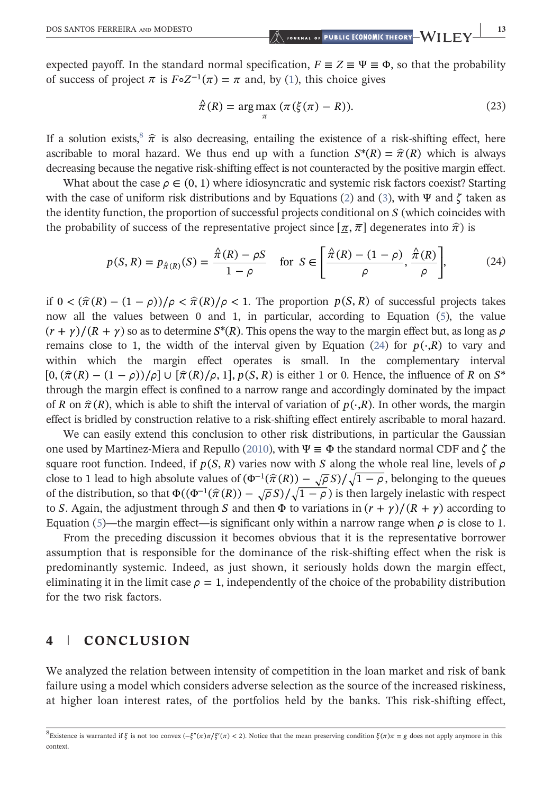expected payoff. In the standard normal specification,  $F \equiv Z \equiv \Psi \equiv \Phi$ , so that the probability of success of project  $\pi$  is  $F \circ Z^{-1}(\pi) = \pi$  and, by ([1\)](#page-3-2), this choice gives

$$
\hat{\pi}(R) = \underset{\pi}{\arg \max} \ (\pi(\xi(\pi) - R)). \tag{23}
$$

If a solution exists,  $\hat{\pi}$  is also decreasing, entailing the existence of a risk-shifting effect, here ascribable to moral hazard. We thus end up with a function  $S^*(R) = \hat{\pi}(R)$  which is always decreasing because the negative risk‐shifting effect is not counteracted by the positive margin effect.

<span id="page-12-2"></span>What about the case  $\rho \in (0, 1)$  where idiosyncratic and systemic risk factors coexist? Starting with the case of uniform risk distributions and by Equations [\(2](#page-4-1)) and ([3\)](#page-4-2), with Ψ and *ζ* taken as the identity function, the proportion of successful projects conditional on *S* (which coincides with the probability of success of the representative project since  $[\pi, \pi]$  degenerates into  $\hat{\pi}$ ) is

$$
p(S, R) = p_{\hat{\pi}(R)}(S) = \frac{\hat{\pi}(R) - \rho S}{1 - \rho} \quad \text{for } S \in \left[\frac{\hat{\pi}(R) - (1 - \rho)}{\rho}, \frac{\hat{\pi}(R)}{\rho}\right],\tag{24}
$$

if  $0 < (\hat{\pi}(R) - (1 - \rho))/\rho < \hat{\pi}(R)/\rho < 1$ . The proportion  $p(S, R)$  of successful projects takes now all the values between 0 and 1, in particular, according to Equation ([5](#page-4-0)), the value  $(r + \gamma)/(R + \gamma)$  so as to determine  $S^*(R)$ . This opens the way to the margin effect but, as long as  $\rho$ remains close to 1, the width of the interval given by Equation [\(24\)](#page-12-2) for  $p(\cdot, R)$  to vary and within which the margin effect operates is small. In the complementary interval  $[0, (\hat{\pi}(R) - (1 - \rho))/\rho] \cup [\hat{\pi}(R)/\rho, 1], p(S, R)$  is either 1 or 0. Hence, the influence of *R* on *S*<sup>\*</sup> through the margin effect is confined to a narrow range and accordingly dominated by the impact of *R* on  $\hat{\pi}(R)$ , which is able to shift the interval of variation of  $p(\cdot,R)$ . In other words, the margin effect is bridled by construction relative to a risk‐shifting effect entirely ascribable to moral hazard.

We can easily extend this conclusion to other risk distributions, in particular the Gaussian one used by Martinez‐Miera and Repullo ([2010\)](#page-13-4), with Ψ ≡ Φ the standard normal CDF and *ζ* the square root function. Indeed, if  $p(S, R)$  varies now with *S* along the whole real line, levels of  $\rho$ close to 1 lead to high absolute values of  $(\Phi^{-1}(\hat{\pi}(R)) - \sqrt{\rho}S)/\sqrt{1-\rho}$ , belonging to the queues of the distribution, so that  $\Phi((\Phi^{-1}(\hat{\pi}(R)) - \sqrt{\rho}S)/\sqrt{1-\rho})$  is then largely inelastic with respect to *S*. Again, the adjustment through *S* and then  $\Phi$  to variations in  $(r + \gamma)/(R + \gamma)$  according to Equation ([5\)](#page-4-0)—the margin effect—is significant only within a narrow range when  $\rho$  is close to 1.

From the preceding discussion it becomes obvious that it is the representative borrower assumption that is responsible for the dominance of the risk‐shifting effect when the risk is predominantly systemic. Indeed, as just shown, it seriously holds down the margin effect, eliminating it in the limit case  $\rho = 1$ , independently of the choice of the probability distribution for the two risk factors.

#### <span id="page-12-0"></span>4 | CONCLUSION

We analyzed the relation between intensity of competition in the loan market and risk of bank failure using a model which considers adverse selection as the source of the increased riskiness, at higher loan interest rates, of the portfolios held by the banks. This risk‐shifting effect,

<span id="page-12-1"></span> $8 \times 8$  Existence is warranted if *ξ* is not too convex ( $-\xi''(\pi) \pi / \xi'(\pi) < 2$ ). Notice that the mean preserving condition  $\xi(\pi) \pi = g$  does not apply anymore in this context.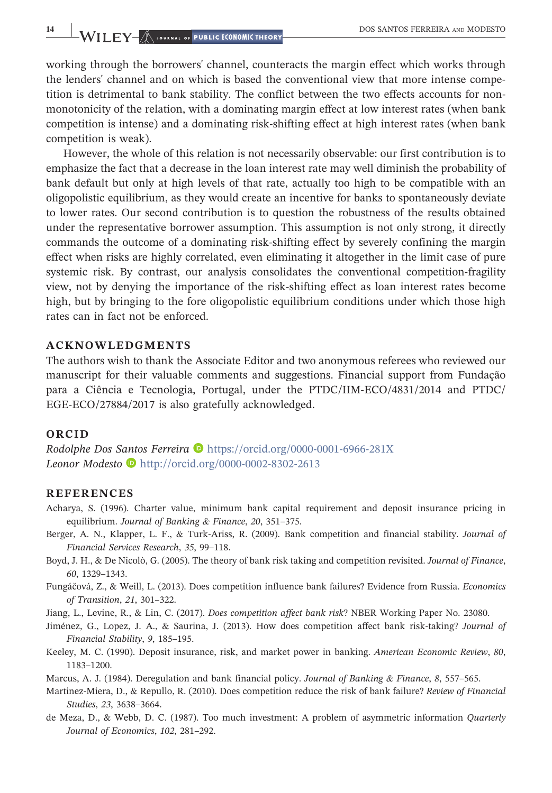working through the borrowers' channel, counteracts the margin effect which works through the lenders' channel and on which is based the conventional view that more intense competition is detrimental to bank stability. The conflict between the two effects accounts for nonmonotonicity of the relation, with a dominating margin effect at low interest rates (when bank competition is intense) and a dominating risk‐shifting effect at high interest rates (when bank competition is weak).

However, the whole of this relation is not necessarily observable: our first contribution is to emphasize the fact that a decrease in the loan interest rate may well diminish the probability of bank default but only at high levels of that rate, actually too high to be compatible with an oligopolistic equilibrium, as they would create an incentive for banks to spontaneously deviate to lower rates. Our second contribution is to question the robustness of the results obtained under the representative borrower assumption. This assumption is not only strong, it directly commands the outcome of a dominating risk‐shifting effect by severely confining the margin effect when risks are highly correlated, even eliminating it altogether in the limit case of pure systemic risk. By contrast, our analysis consolidates the conventional competition‐fragility view, not by denying the importance of the risk‐shifting effect as loan interest rates become high, but by bringing to the fore oligopolistic equilibrium conditions under which those high rates can in fact not be enforced.

#### ACKNOWLEDGMENTS

The authors wish to thank the Associate Editor and two anonymous referees who reviewed our manuscript for their valuable comments and suggestions. Financial support from Fundação para a Ciência e Tecnologia, Portugal, under the PTDC/IIM‐ECO/4831/2014 and PTDC/ EGE-ECO/27884/2017 is also gratefully acknowledged.

#### **ORCID**

Rodolphe Dos Santos Ferreira D <https://orcid.org/0000-0001-6966-281X> Leonor Modesto D<http://orcid.org/0000-0002-8302-2613>

#### REFERENCES

- <span id="page-13-0"></span>Acharya, S. (1996). Charter value, minimum bank capital requirement and deposit insurance pricing in equilibrium. Journal of Banking & Finance, 20, 351–375.
- <span id="page-13-5"></span>Berger, A. N., Klapper, L. F., & Turk‐Ariss, R. (2009). Bank competition and financial stability. Journal of Financial Services Research, 35, 99–118.
- <span id="page-13-3"></span>Boyd, J. H., & De Nicolò, G. (2005). The theory of bank risk taking and competition revisited. Journal of Finance, 60, 1329–1343.
- <span id="page-13-6"></span>Fungáčová, Z., & Weill, L. (2013). Does competition influence bank failures? Evidence from Russia. Economics of Transition, 21, 301–322.

<span id="page-13-8"></span>Jiang, L., Levine, R., & Lin, C. (2017). Does competition affect bank risk? NBER Working Paper No. 23080.

- <span id="page-13-7"></span>Jiménez, G., Lopez, J. A., & Saurina, J. (2013). How does competition affect bank risk‐taking? Journal of Financial Stability, 9, 185–195.
- <span id="page-13-1"></span>Keeley, M. C. (1990). Deposit insurance, risk, and market power in banking. American Economic Review, 80, 1183–1200.
- <span id="page-13-2"></span>Marcus, A. J. (1984). Deregulation and bank financial policy. Journal of Banking & Finance, 8, 557–565.
- <span id="page-13-4"></span>Martinez‐Miera, D., & Repullo, R. (2010). Does competition reduce the risk of bank failure? Review of Financial Studies, 23, 3638–3664.
- <span id="page-13-9"></span>de Meza, D., & Webb, D. C. (1987). Too much investment: A problem of asymmetric information Quarterly Journal of Economics, 102, 281–292.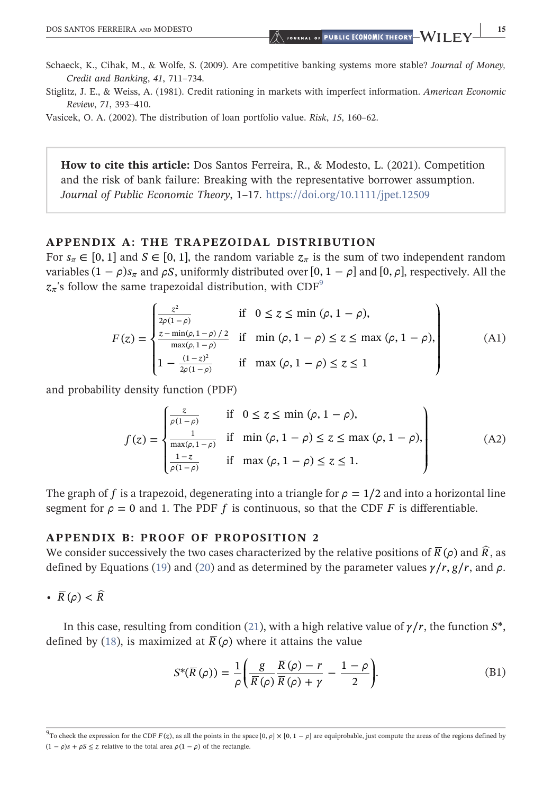- <span id="page-14-1"></span>Schaeck, K., Cihak, M., & Wolfe, S. (2009). Are competitive banking systems more stable? Journal of Money, Credit and Banking, 41, 711–734.
- <span id="page-14-0"></span>Stiglitz, J. E., & Weiss, A. (1981). Credit rationing in markets with imperfect information. American Economic Review, 71, 393–410.

<span id="page-14-2"></span>Vasicek, O. A. (2002). The distribution of loan portfolio value. Risk, 15, 160–62.

How to cite this article: Dos Santos Ferreira, R., & Modesto, L. (2021). Competition and the risk of bank failure: Breaking with the representative borrower assumption. Journal of Public Economic Theory, 1–17. <https://doi.org/10.1111/jpet.12509>

#### <span id="page-14-3"></span>APPENDIX A: THE TRAPEZOIDAL DISTRIBUTION

For  $s_\pi \in [0, 1]$  and  $S \in [0, 1]$ , the random variable  $z_\pi$  is the sum of two independent random variables  $(1 - \rho)s_\pi$  and  $\rho S$ , uniformly distributed over  $[0, 1 - \rho]$  and  $[0, \rho]$ , respectively. All the  $z_{\pi}$ 's follow the same trapezoidal distribution, with CDF<sup>[9](#page-14-5)</sup>

$$
F(z) = \begin{cases} \frac{z^2}{2\rho(1-\rho)} & \text{if } 0 \le z \le \min(\rho, 1-\rho), \\ \frac{z-\min(\rho, 1-\rho)/2}{\max(\rho, 1-\rho)} & \text{if } \min(\rho, 1-\rho) \le z \le \max(\rho, 1-\rho), \\ 1 - \frac{(1-z)^2}{2\rho(1-\rho)} & \text{if } \max(\rho, 1-\rho) \le z \le 1 \end{cases}
$$
(A1)

and probability density function (PDF)

$$
f(z) = \begin{cases} \frac{z}{\rho(1-\rho)} & \text{if } 0 \le z \le \min(\rho, 1-\rho),\\ \frac{1}{\max(\rho, 1-\rho)} & \text{if } \min(\rho, 1-\rho) \le z \le \max(\rho, 1-\rho),\\ \frac{1-z}{\rho(1-\rho)} & \text{if } \max(\rho, 1-\rho) \le z \le 1. \end{cases} \tag{A2}
$$

The graph of *f* is a trapezoid, degenerating into a triangle for  $\rho = 1/2$  and into a horizontal line segment for  $\rho = 0$  and 1. The PDF f is continuous, so that the CDF F is differentiable.

#### <span id="page-14-4"></span>APPENDIX B: PROOF OF PROPOSITION 2

We consider successively the two cases characterized by the relative positions of  $\bar{R}(\rho)$  and  $\hat{R}$ , as defined by Equations ([19\)](#page-10-2) and ([20\)](#page-10-3) and as determined by the parameter values  $\gamma/r$ ,  $g/r$ , and  $\rho$ .

•  $\overline{R}(\rho) < \widehat{R}$ 

In this case, resulting from condition [\(21\)](#page-11-2), with a high relative value of  $\gamma/r$ , the function *S*<sup>\*</sup>, defined by [\(18](#page-10-1)), is maximized at  $\overline{R}(\rho)$  where it attains the value

$$
S^*(\overline{R}(\rho)) = \frac{1}{\rho} \left( \frac{g}{\overline{R}(\rho)} \frac{\overline{R}(\rho) - r}{\overline{R}(\rho) + \gamma} - \frac{1 - \rho}{2} \right).
$$
 (B1)

<span id="page-14-5"></span><sup>9</sup> To check the expression for the CDF *F* (*z*), as all the points in the space [0, *ρ*] × [0, 1 − *ρ*] are equiprobable, just compute the areas of the regions defined by  $(1 - \rho)s + \rho S \leq z$  relative to the total area  $\rho(1 - \rho)$  of the rectangle.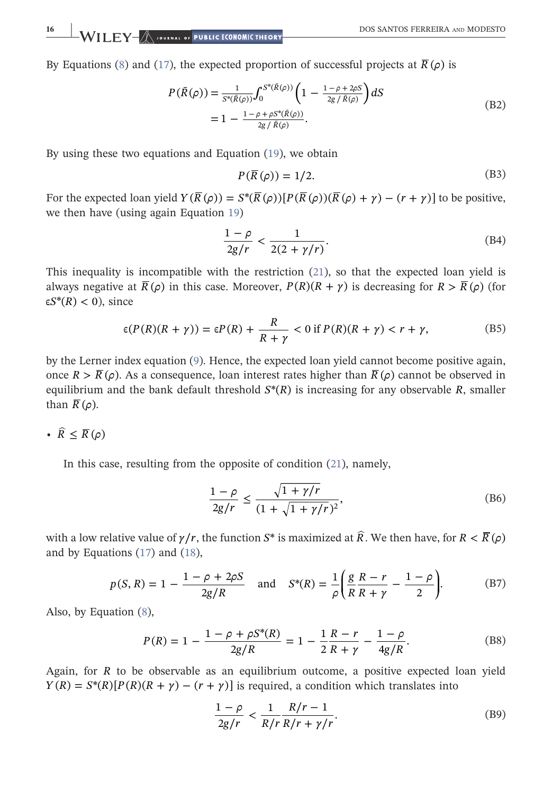By Equations [\(8](#page-5-3)) and ([17\)](#page-10-4), the expected proportion of successful projects at  $\bar{R}(\rho)$  is

$$
P(\bar{R}(\rho)) = \frac{1}{s^*(\bar{R}(\rho))} \int_0^{s^*(\bar{R}(\rho))} \left(1 - \frac{1 - \rho + 2\rho S}{2g / \bar{R}(\rho)}\right) dS
$$
  
= 
$$
1 - \frac{1 - \rho + \rho S^*(\bar{R}(\rho))}{2g / \bar{R}(\rho)}.
$$
 (B2)

By using these two equations and Equation [\(19](#page-10-2)), we obtain

$$
P(\overline{R}(\rho)) = 1/2. \tag{B3}
$$

For the expected loan yield  $Y(\overline{R}(\rho)) = S^*(\overline{R}(\rho))[P(\overline{R}(\rho))(\overline{R}(\rho)+\gamma)-(r+\gamma)]$  to be positive, we then have (using again Equation [19](#page-10-2))

$$
\frac{1-\rho}{2g/r} < \frac{1}{2(2+\gamma/r)}.\tag{B4}
$$

This inequality is incompatible with the restriction ([21\)](#page-11-2), so that the expected loan yield is always negative at  $\overline{R}(\rho)$  in this case. Moreover,  $P(R)(R + \gamma)$  is decreasing for  $R > \overline{R}(\rho)$  (for  $\epsilon S^*(R) < 0$ , since

$$
\epsilon(P(R)(R+\gamma)) = \epsilon P(R) + \frac{R}{R+\gamma} < 0 \text{ if } P(R)(R+\gamma) < r+\gamma,\tag{B5}
$$

by the Lerner index equation ([9\)](#page-6-4). Hence, the expected loan yield cannot become positive again, once  $R > \overline{R}(\rho)$ . As a consequence, loan interest rates higher than  $\overline{R}(\rho)$  cannot be observed in equilibrium and the bank default threshold  $S^*(R)$  is increasing for any observable  $R$ , smaller than  $\overline{R}(\rho)$ .

•  $\widehat{R} \leq \overline{R}(\rho)$ 

<span id="page-15-0"></span>In this case, resulting from the opposite of condition [\(21](#page-11-2)), namely,

$$
\frac{1-\rho}{2g/r} \le \frac{\sqrt{1+\gamma/r}}{(1+\sqrt{1+\gamma/r})^2},
$$
 (B6)

with a low relative value of  $\gamma/r$ , the function *S*<sup>\*</sup> is maximized at  $\hat{R}$ . We then have, for  $R < \overline{R}(\rho)$ and by Equations ([17\)](#page-10-4) and [\(18](#page-10-1)),

$$
p(S, R) = 1 - \frac{1 - \rho + 2\rho S}{2g/R}
$$
 and  $S^*(R) = \frac{1}{\rho} \left( \frac{g}{R} \frac{R - r}{R + \gamma} - \frac{1 - \rho}{2} \right).$  (B7)

Also, by Equation [\(8](#page-5-3)),

$$
P(R) = 1 - \frac{1 - \rho + \rho S^*(R)}{2g/R} = 1 - \frac{1}{2} \frac{R - r}{R + \gamma} - \frac{1 - \rho}{4g/R}.
$$
 (B8)

Again, for *R* to be observable as an equilibrium outcome, a positive expected loan yield  $Y(R) = S^{*}(R)[P(R)(R + \gamma) - (r + \gamma)]$  is required, a condition which translates into

$$
\frac{1-\rho}{2g/r} < \frac{1}{R/r} \frac{R/r - 1}{R/r + \gamma/r}.\tag{B9}
$$